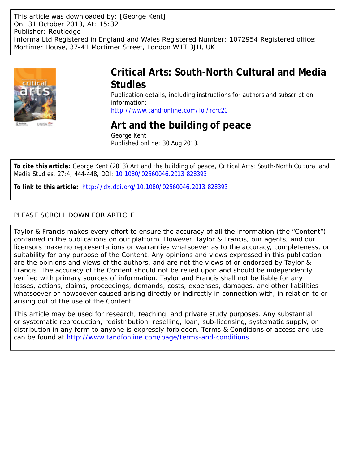This article was downloaded by: [George Kent] On: 31 October 2013, At: 15:32 Publisher: Routledge Informa Ltd Registered in England and Wales Registered Number: 1072954 Registered office: Mortimer House, 37-41 Mortimer Street, London W1T 3JH, UK



## **Critical Arts: South-North Cultural and Media Studies**

Publication details, including instructions for authors and subscription information: <http://www.tandfonline.com/loi/rcrc20>

**Art and the building of peace**

George Kent Published online: 30 Aug 2013.

**To cite this article:** George Kent (2013) Art and the building of peace, Critical Arts: South-North Cultural and Media Studies, 27:4, 444-448, DOI: [10.1080/02560046.2013.828393](http://www.tandfonline.com/action/showCitFormats?doi=10.1080/02560046.2013.828393)

**To link to this article:** <http://dx.doi.org/10.1080/02560046.2013.828393>

### PLEASE SCROLL DOWN FOR ARTICLE

Taylor & Francis makes every effort to ensure the accuracy of all the information (the "Content") contained in the publications on our platform. However, Taylor & Francis, our agents, and our licensors make no representations or warranties whatsoever as to the accuracy, completeness, or suitability for any purpose of the Content. Any opinions and views expressed in this publication are the opinions and views of the authors, and are not the views of or endorsed by Taylor & Francis. The accuracy of the Content should not be relied upon and should be independently verified with primary sources of information. Taylor and Francis shall not be liable for any losses, actions, claims, proceedings, demands, costs, expenses, damages, and other liabilities whatsoever or howsoever caused arising directly or indirectly in connection with, in relation to or arising out of the use of the Content.

This article may be used for research, teaching, and private study purposes. Any substantial or systematic reproduction, redistribution, reselling, loan, sub-licensing, systematic supply, or distribution in any form to anyone is expressly forbidden. Terms & Conditions of access and use can be found at <http://www.tandfonline.com/page/terms-and-conditions>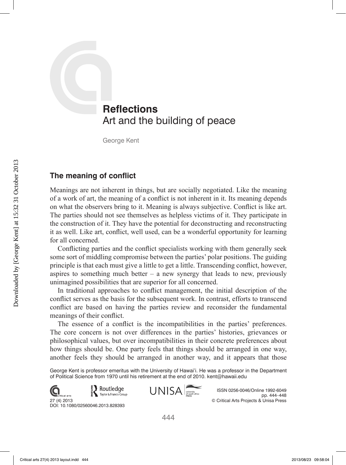

George Kent

#### **The meaning of conflict**

Meanings are not inherent in things, but are socially negotiated. Like the meaning of a work of art, the meaning of a conflict is not inherent in it. Its meaning depends on what the observers bring to it. Meaning is always subjective. Conflict is like art. The parties should not see themselves as helpless victims of it. They participate in the construction of it. They have the potential for deconstructing and reconstructing it as well. Like art, conflict, well used, can be a wonderful opportunity for learning for all concerned.

Conflicting parties and the conflict specialists working with them generally seek some sort of middling compromise between the parties' polar positions. The guiding principle is that each must give a little to get a little. Transcending conflict, however, aspires to something much better  $-$  a new synergy that leads to new, previously unimagined possibilities that are superior for all concerned.

In traditional approaches to conflict management, the initial description of the conflict serves as the basis for the subsequent work. In contrast, efforts to transcend conflict are based on having the parties review and reconsider the fundamental meanings of their conflict.

The essence of a conflict is the incompatibilities in the parties' preferences. The core concern is not over differences in the parties' histories, grievances or philosophical values, but over incompatibilities in their concrete preferences about how things should be. One party feels that things should be arranged in one way, another feels they should be arranged in another way, and it appears that those

George Kent is professor emeritus with the University of Hawai'i. He was a professor in the Department of Political Science from 1970 until his retirement at the end of 2010. kent@hawaii.edu

Q Routledge **EXPERIENCE Taylor & Francis Group** ∣<br>ritical arte 27 (4) 2013 © Critical Arts Projects & Unisa Press DOI: 10.1080/02560046.2013.828393



ISSN 0256-0046/Online 1992-6049 pp. 444–448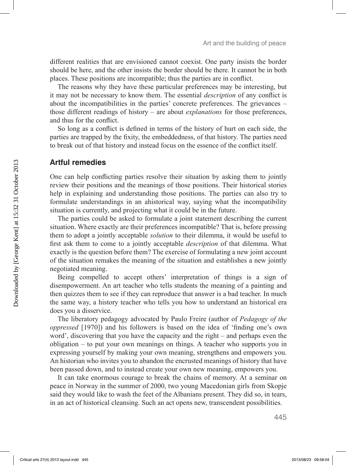different realities that are envisioned cannot coexist. One party insists the border should be here, and the other insists the border should be there. It cannot be in both places. These positions are incompatible; thus the parties are in conflict.

The reasons why they have these particular preferences may be interesting, but it may not be necessary to know them. The essential *description* of any conflict is about the incompatibilities in the parties' concrete preferences. The grievances – those different readings of history – are about *explanations* for those preferences, and thus for the conflict.

So long as a conflict is defined in terms of the history of hurt on each side, the parties are trapped by the fixity, the embeddedness, of that history. The parties need to break out of that history and instead focus on the essence of the conflict itself.

#### **Artful remedies**

One can help conflicting parties resolve their situation by asking them to jointly review their positions and the meanings of those positions. Their historical stories help in explaining and understanding those positions. The parties can also try to formulate understandings in an ahistorical way, saying what the incompatibility situation is currently, and projecting what it could be in the future.

The parties could be asked to formulate a joint statement describing the current situation. Where exactly are their preferences incompatible? That is, before pressing them to adopt a jointly acceptable *solution* to their dilemma, it would be useful to first ask them to come to a jointly acceptable *description* of that dilemma. What exactly is the question before them? The exercise of formulating a new joint account of the situation remakes the meaning of the situation and establishes a new jointly negotiated meaning.

Being compelled to accept others' interpretation of things is a sign of disempowerment. An art teacher who tells students the meaning of a painting and then quizzes them to see if they can reproduce that answer is a bad teacher. In much the same way, a history teacher who tells you how to understand an historical era does you a disservice.

The liberatory pedagogy advocated by Paulo Freire (author of *Pedagogy of the oppressed* [1970]) and his followers is based on the idea of 'finding one's own word', discovering that you have the capacity and the right – and perhaps even the obligation – to put your own meanings on things. A teacher who supports you in expressing yourself by making your own meaning, strengthens and empowers you. An historian who invites you to abandon the encrusted meanings of history that have been passed down, and to instead create your own new meaning, empowers you.

It can take enormous courage to break the chains of memory. At a seminar on peace in Norway in the summer of 2000, two young Macedonian girls from Skopje said they would like to wash the feet of the Albanians present. They did so, in tears, in an act of historical cleansing. Such an act opens new, transcendent possibilities.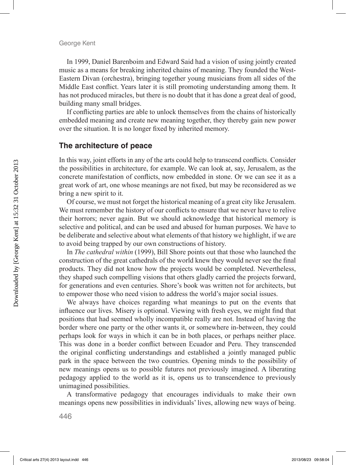In 1999, Daniel Barenboim and Edward Said had a vision of using jointly created music as a means for breaking inherited chains of meaning. They founded the West-Eastern Divan (orchestra), bringing together young musicians from all sides of the Middle East conflict. Years later it is still promoting understanding among them. It has not produced miracles, but there is no doubt that it has done a great deal of good, building many small bridges.

If conflicting parties are able to unlock themselves from the chains of historically embedded meaning and create new meaning together, they thereby gain new power over the situation. It is no longer fixed by inherited memory.

#### **The architecture of peace**

In this way, joint efforts in any of the arts could help to transcend conflicts. Consider the possibilities in architecture, for example. We can look at, say, Jerusalem, as the concrete manifestation of conflicts, now embedded in stone. Or we can see it as a great work of art, one whose meanings are not fixed, but may be reconsidered as we bring a new spirit to it.

Of course, we must not forget the historical meaning of a great city like Jerusalem. We must remember the history of our conflicts to ensure that we never have to relive their horrors; never again. But we should acknowledge that historical memory is selective and political, and can be used and abused for human purposes. We have to be deliberate and selective about what elements of that history we highlight, if we are to avoid being trapped by our own constructions of history.

In *The cathedral within* (1999), Bill Shore points out that those who launched the construction of the great cathedrals of the world knew they would never see the final products. They did not know how the projects would be completed. Nevertheless, they shaped such compelling visions that others gladly carried the projects forward, for generations and even centuries. Shore's book was written not for architects, but to empower those who need vision to address the world's major social issues.

We always have choices regarding what meanings to put on the events that influence our lives. Misery is optional. Viewing with fresh eyes, we might find that positions that had seemed wholly incompatible really are not. Instead of having the border where one party or the other wants it, or somewhere in-between, they could perhaps look for ways in which it can be in both places, or perhaps neither place. This was done in a border conflict between Ecuador and Peru. They transcended the original conflicting understandings and established a jointly managed public park in the space between the two countries. Opening minds to the possibility of new meanings opens us to possible futures not previously imagined. A liberating pedagogy applied to the world as it is, opens us to transcendence to previously unimagined possibilities.

A transformative pedagogy that encourages individuals to make their own meanings opens new possibilities in individuals' lives, allowing new ways of being.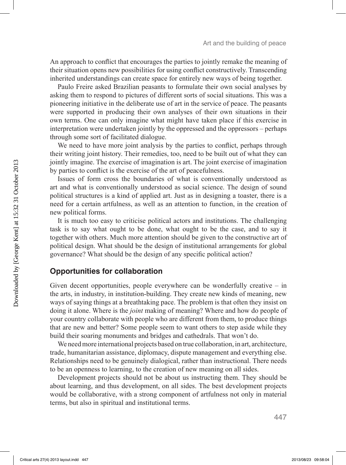An approach to conflict that encourages the parties to jointly remake the meaning of their situation opens new possibilities for using conflict constructively. Transcending inherited understandings can create space for entirely new ways of being together.

Paulo Freire asked Brazilian peasants to formulate their own social analyses by asking them to respond to pictures of different sorts of social situations. This was a pioneering initiative in the deliberate use of art in the service of peace. The peasants were supported in producing their own analyses of their own situations in their own terms. One can only imagine what might have taken place if this exercise in interpretation were undertaken jointly by the oppressed and the oppressors – perhaps through some sort of facilitated dialogue.

We need to have more joint analysis by the parties to conflict, perhaps through their writing joint history. Their remedies, too, need to be built out of what they can jointly imagine. The exercise of imagination is art. The joint exercise of imagination by parties to conflict is the exercise of the art of peacefulness.

Issues of form cross the boundaries of what is conventionally understood as art and what is conventionally understood as social science. The design of sound political structures is a kind of applied art. Just as in designing a toaster, there is a need for a certain artfulness, as well as an attention to function, in the creation of new political forms.

It is much too easy to criticise political actors and institutions. The challenging task is to say what ought to be done, what ought to be the case, and to say it together with others. Much more attention should be given to the constructive art of political design. What should be the design of institutional arrangements for global governance? What should be the design of any specific political action?

#### **Opportunities for collaboration**

Given decent opportunities, people everywhere can be wonderfully creative – in the arts, in industry, in institution-building. They create new kinds of meaning, new ways of saying things at a breathtaking pace. The problem is that often they insist on doing it alone. Where is the *joint* making of meaning? Where and how do people of your country collaborate with people who are different from them, to produce things that are new and better? Some people seem to want others to step aside while they build their soaring monuments and bridges and cathedrals. That won't do.

We need more international projects based on true collaboration, in art, architecture, trade, humanitarian assistance, diplomacy, dispute management and everything else. Relationships need to be genuinely dialogical, rather than instructional. There needs to be an openness to learning, to the creation of new meaning on all sides.

Development projects should not be about us instructing them. They should be about learning, and thus development, on all sides. The best development projects would be collaborative, with a strong component of artfulness not only in material terms, but also in spiritual and institutional terms.